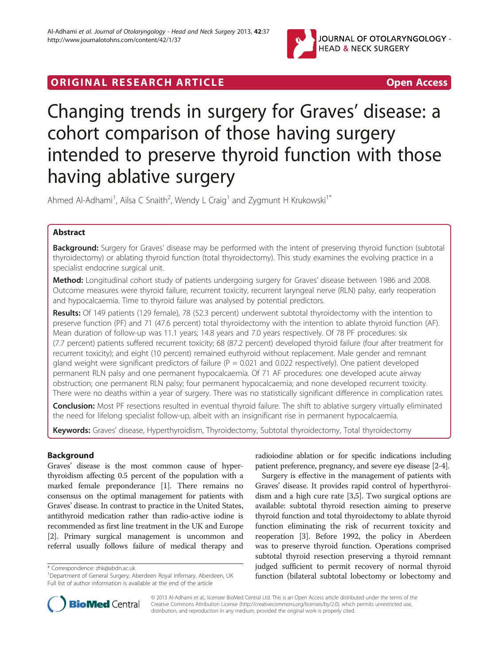

# Changing trends in surgery for Graves' disease: a cohort comparison of those having surgery intended to preserve thyroid function with those having ablative surgery

Ahmed Al-Adhami<sup>1</sup>, Ailsa C Snaith<sup>2</sup>, Wendy L Craig<sup>1</sup> and Zygmunt H Krukowski<sup>1\*</sup>

# Abstract

Background: Surgery for Graves' disease may be performed with the intent of preserving thyroid function (subtotal thyroidectomy) or ablating thyroid function (total thyroidectomy). This study examines the evolving practice in a specialist endocrine surgical unit.

Method: Longitudinal cohort study of patients undergoing surgery for Graves' disease between 1986 and 2008. Outcome measures were thyroid failure, recurrent toxicity, recurrent laryngeal nerve (RLN) palsy, early reoperation and hypocalcaemia. Time to thyroid failure was analysed by potential predictors.

Results: Of 149 patients (129 female), 78 (52.3 percent) underwent subtotal thyroidectomy with the intention to preserve function (PF) and 71 (47.6 percent) total thyroidectomy with the intention to ablate thyroid function (AF). Mean duration of follow-up was 11.1 years; 14.8 years and 7.0 years respectively. Of 78 PF procedures: six (7.7 percent) patients suffered recurrent toxicity; 68 (87.2 percent) developed thyroid failure (four after treatment for recurrent toxicity); and eight (10 percent) remained euthyroid without replacement. Male gender and remnant gland weight were significant predictors of failure ( $P = 0.021$  and 0.022 respectively). One patient developed permanent RLN palsy and one permanent hypocalcaemia. Of 71 AF procedures: one developed acute airway obstruction; one permanent RLN palsy; four permanent hypocalcaemia; and none developed recurrent toxicity. There were no deaths within a year of surgery. There was no statistically significant difference in complication rates.

Conclusion: Most PF resections resulted in eventual thyroid failure. The shift to ablative surgery virtually eliminated the need for lifelong specialist follow-up, albeit with an insignificant rise in permanent hypocalcaemia.

Keywords: Graves' disease, Hyperthyroidism, Thyroidectomy, Subtotal thyroidectomy, Total thyroidectomy

# Background

Graves' disease is the most common cause of hyperthyroidism affecting 0.5 percent of the population with a marked female preponderance [\[1\]](#page-6-0). There remains no consensus on the optimal management for patients with Graves' disease. In contrast to practice in the United States, antithyroid medication rather than radio-active iodine is recommended as first line treatment in the UK and Europe [[2](#page-6-0)]. Primary surgical management is uncommon and referral usually follows failure of medical therapy and

\* Correspondence: [zhk@abdn.ac.uk](mailto:zhk@abdn.ac.uk) <sup>1</sup>

radioiodine ablation or for specific indications including patient preference, pregnancy, and severe eye disease [[2-4\]](#page-6-0).

Surgery is effective in the management of patients with Graves' disease. It provides rapid control of hyperthyroidism and a high cure rate [\[3,5\]](#page-6-0). Two surgical options are available: subtotal thyroid resection aiming to preserve thyroid function and total thyroidectomy to ablate thyroid function eliminating the risk of recurrent toxicity and reoperation [\[3](#page-6-0)]. Before 1992, the policy in Aberdeen was to preserve thyroid function. Operations comprised subtotal thyroid resection preserving a thyroid remnant judged sufficient to permit recovery of normal thyroid function (bilateral subtotal lobectomy or lobectomy and



© 2013 Al-Adhami et al.; licensee BioMed Central Ltd. This is an Open Access article distributed under the terms of the Creative Commons Attribution License (<http://creativecommons.org/licenses/by/2.0>), which permits unrestricted use, distribution, and reproduction in any medium, provided the original work is properly cited.

<sup>&</sup>lt;sup>1</sup>Department of General Surgery, Aberdeen Royal Infirmary, Aberdeen, UK Full list of author information is available at the end of the article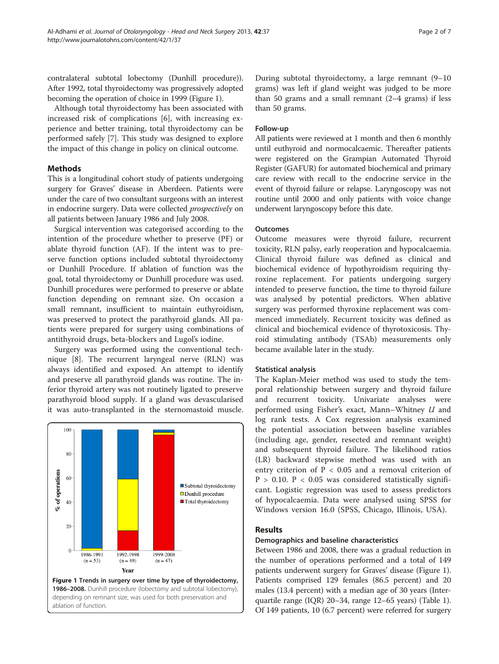<span id="page-1-0"></span>contralateral subtotal lobectomy (Dunhill procedure)). After 1992, total thyroidectomy was progressively adopted becoming the operation of choice in 1999 (Figure 1).

Although total thyroidectomy has been associated with increased risk of complications [\[6](#page-6-0)], with increasing experience and better training, total thyroidectomy can be performed safely [[7](#page-6-0)]. This study was designed to explore the impact of this change in policy on clinical outcome.

# **Methods**

This is a longitudinal cohort study of patients undergoing surgery for Graves' disease in Aberdeen. Patients were under the care of two consultant surgeons with an interest in endocrine surgery. Data were collected prospectively on all patients between January 1986 and July 2008.

Surgical intervention was categorised according to the intention of the procedure whether to preserve (PF) or ablate thyroid function (AF). If the intent was to preserve function options included subtotal thyroidectomy or Dunhill Procedure. If ablation of function was the goal, total thyroidectomy or Dunhill procedure was used. Dunhill procedures were performed to preserve or ablate function depending on remnant size. On occasion a small remnant, insufficient to maintain euthyroidism, was preserved to protect the parathyroid glands. All patients were prepared for surgery using combinations of antithyroid drugs, beta-blockers and Lugol's iodine.

Surgery was performed using the conventional technique [[8\]](#page-6-0). The recurrent laryngeal nerve (RLN) was always identified and exposed. An attempt to identify and preserve all parathyroid glands was routine. The inferior thyroid artery was not routinely ligated to preserve parathyroid blood supply. If a gland was devascularised it was auto-transplanted in the sternomastoid muscle.



During subtotal thyroidectomy, a large remnant (9–10 grams) was left if gland weight was judged to be more than 50 grams and a small remnant  $(2-4$  grams) if less than 50 grams.

# Follow-up

All patients were reviewed at 1 month and then 6 monthly until euthyroid and normocalcaemic. Thereafter patients were registered on the Grampian Automated Thyroid Register (GAFUR) for automated biochemical and primary care review with recall to the endocrine service in the event of thyroid failure or relapse. Laryngoscopy was not routine until 2000 and only patients with voice change underwent laryngoscopy before this date.

# **Outcomes**

Outcome measures were thyroid failure, recurrent toxicity, RLN palsy, early reoperation and hypocalcaemia. Clinical thyroid failure was defined as clinical and biochemical evidence of hypothyroidism requiring thyroxine replacement. For patients undergoing surgery intended to preserve function, the time to thyroid failure was analysed by potential predictors. When ablative surgery was performed thyroxine replacement was commenced immediately. Recurrent toxicity was defined as clinical and biochemical evidence of thyrotoxicosis. Thyroid stimulating antibody (TSAb) measurements only became available later in the study.

## Statistical analysis

The Kaplan-Meier method was used to study the temporal relationship between surgery and thyroid failure and recurrent toxicity. Univariate analyses were performed using Fisher's exact, Mann–Whitney U and log rank tests. A Cox regression analysis examined the potential association between baseline variables (including age, gender, resected and remnant weight) and subsequent thyroid failure. The likelihood ratios (LR) backward stepwise method was used with an entry criterion of  $P < 0.05$  and a removal criterion of  $P > 0.10$ .  $P < 0.05$  was considered statistically significant. Logistic regression was used to assess predictors of hypocalcaemia. Data were analysed using SPSS for Windows version 16.0 (SPSS, Chicago, Illinois, USA).

# Results

# Demographics and baseline characteristics

Between 1986 and 2008, there was a gradual reduction in the number of operations performed and a total of 149 patients underwent surgery for Graves' disease (Figure 1). Patients comprised 129 females (86.5 percent) and 20 males (13.4 percent) with a median age of 30 years (Interquartile range (IQR) 20–34, range 12–65 years) (Table [1](#page-2-0)). Of 149 patients, 10 (6.7 percent) were referred for surgery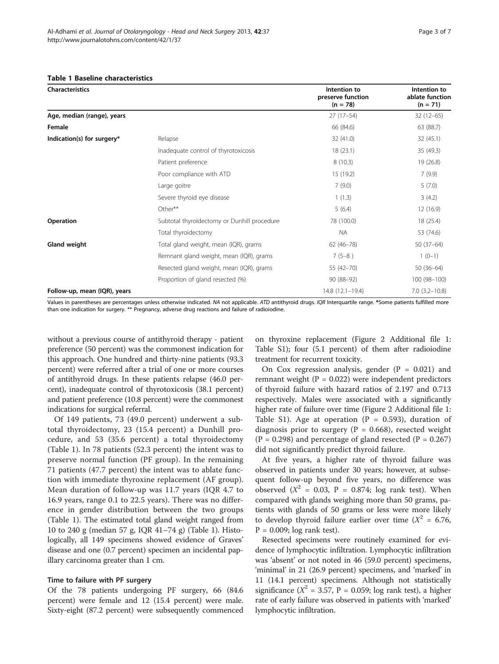#### <span id="page-2-0"></span>Table 1 Baseline characteristics

| <b>Characteristics</b>       |                                             | Intention to<br>preserve function<br>$(n = 78)$ | Intention to<br>ablate function<br>$(n = 71)$ |
|------------------------------|---------------------------------------------|-------------------------------------------------|-----------------------------------------------|
| Age, median (range), years   |                                             | $27(17-54)$                                     | $32(12-65)$                                   |
| Female                       |                                             | 66 (84.6)                                       | 63 (88.7)                                     |
| Indication(s) for surgery*   | Relapse                                     | 32 (41.0)                                       | 32(45.1)                                      |
|                              | Inadequate control of thyrotoxicosis        | 18(23.1)                                        | 35 (49.3)                                     |
|                              | Patient preference                          | 8(10.3)                                         | 19 (26.8)                                     |
|                              | Poor compliance with ATD                    | 15 (19.2)                                       | 7(9.9)                                        |
|                              | Large goitre                                | 7(9.0)                                          | 5(7.0)                                        |
|                              | Severe thyroid eye disease                  | 1(1.3)                                          | 3(4.2)                                        |
|                              | Other**                                     | 5(6.4)                                          | 12 (16.9)                                     |
| Operation                    | Subtotal thyroidectomy or Dunhill procedure | 78 (100.0)                                      | 18 (25.4)                                     |
|                              | Total thyroidectomy                         | NA.                                             | 53 (74.6)                                     |
| Gland weight                 | Total gland weight, mean (IQR), grams       | $62(46 - 78)$                                   | $50(37-64)$                                   |
|                              | Remnant gland weight, mean (IQR), grams     | $7(5-8)$                                        | $1(0-1)$                                      |
|                              | Resected gland weight, mean (IQR), grams    | 55 (42-70)                                      | $50(36-64)$                                   |
|                              | Proportion of gland resected (%)            | $90(88-92)$                                     | 100 (98-100)                                  |
| Follow-up, mean (IQR), years |                                             | 14.8 (12.1-19.4)                                | $7.0$ $(3.2 - 10.8)$                          |

Values in parentheses are percentages unless otherwise indicated. NA not applicable. ATD antithyroid drugs. IQR Interquartile range. \*Some patients fulfilled more than one indication for surgery. \*\* Pregnancy, adverse drug reactions and failure of radioiodine.

without a previous course of antithyroid therapy - patient preference (50 percent) was the commonest indication for this approach. One hundred and thirty-nine patients (93.3 percent) were referred after a trial of one or more courses of antithyroid drugs. In these patients relapse (46.0 percent), inadequate control of thyrotoxicosis (38.1 percent) and patient preference (10.8 percent) were the commonest indications for surgical referral.

Of 149 patients, 73 (49.0 percent) underwent a subtotal thyroidectomy, 23 (15.4 percent) a Dunhill procedure, and 53 (35.6 percent) a total thyroidectomy (Table 1). In 78 patients (52.3 percent) the intent was to preserve normal function (PF group). In the remaining 71 patients (47.7 percent) the intent was to ablate function with immediate thyroxine replacement (AF group). Mean duration of follow-up was 11.7 years (IQR 4.7 to 16.9 years, range 0.1 to 22.5 years). There was no difference in gender distribution between the two groups (Table 1). The estimated total gland weight ranged from 10 to 240 g (median 57 g, IQR 41–74 g) (Table 1). Histologically, all 149 specimens showed evidence of Graves' disease and one (0.7 percent) specimen an incidental papillary carcinoma greater than 1 cm.

## Time to failure with PF surgery

Of the 78 patients undergoing PF surgery, 66 (84.6 percent) were female and 12 (15.4 percent) were male. Sixty-eight (87.2 percent) were subsequently commenced on thyroxine replacement (Figure [2](#page-3-0) Additional file [1](#page-5-0): Table S1); four (5.1 percent) of them after radioiodine treatment for recurrent toxicity.

On Cox regression analysis, gender  $(P = 0.021)$  and remnant weight ( $P = 0.022$ ) were independent predictors of thyroid failure with hazard ratios of 2.197 and 0.713 respectively. Males were associated with a significantly higher rate of failure over time (Figure [2](#page-3-0) Additional file [1](#page-5-0): Table S1). Age at operation  $(P = 0.593)$ , duration of diagnosis prior to surgery ( $P = 0.668$ ), resected weight  $(P = 0.298)$  and percentage of gland resected  $(P = 0.267)$ did not significantly predict thyroid failure.

At five years, a higher rate of thyroid failure was observed in patients under 30 years; however, at subsequent follow-up beyond five years, no difference was observed ( $X^2$  = 0.03, P = 0.874; log rank test). When compared with glands weighing more than 50 grams, patients with glands of 50 grams or less were more likely to develop thyroid failure earlier over time  $(X^2 = 6.76,$  $P = 0.009$ ; log rank test).

Resected specimens were routinely examined for evidence of lymphocytic infiltration. Lymphocytic infiltration was 'absent' or not noted in 46 (59.0 percent) specimens, 'minimal' in 21 (26.9 percent) specimens, and 'marked' in 11 (14.1 percent) specimens. Although not statistically significance ( $X^2 = 3.57$ , P = 0.059; log rank test), a higher rate of early failure was observed in patients with 'marked' lymphocytic infiltration.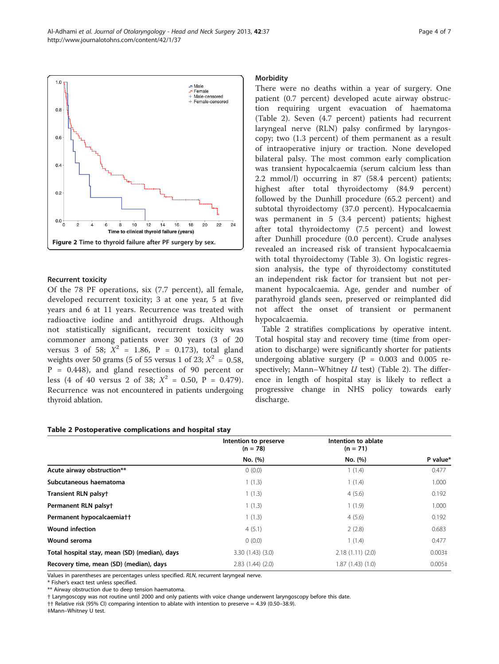Recurrent toxicity Of the 78 PF operations, six (7.7 percent), all female, developed recurrent toxicity; 3 at one year, 5 at five years and 6 at 11 years. Recurrence was treated with radioactive iodine and antithyroid drugs. Although not statistically significant, recurrent toxicity was commoner among patients over 30 years (3 of 20 versus 3 of 58;  $X^2 = 1.86$ , P = 0.173), total gland weights over 50 grams (5 of 55 versus 1 of 23;  $X^2 = 0.58$ ,  $P = 0.448$ , and gland resections of 90 percent or less (4 of 40 versus 2 of 38;  $X^2 = 0.50$ , P = 0.479). Recurrence was not encountered in patients undergoing thyroid ablation.

## Table 2 Postoperative complications and hospital stay

# Intention to preserve  $(n = 78)$  $(n = 71)$ No. (%) No. (%) P value\* **Acute airway obstruction\*\***  $0(0.0)$   $1(1.4)$   $0.477$ **Subcutaneous haematoma** 1 (1.3) 1.000 **Transient RLN palsy†** 1 (1.3) 4 (5.6) 0.192 **Permanent RLN palsy†** 1.000 1.000 1.000 1.000 1.000 1.000 1.000 1.000 1.000 1.000 1.000 1.000 1.000 1.000 1.000 1.000 1.000 1.000 1.000 1.000 1.000 1.000 1.000 1.000 1.000 1.000 1.000 1.000 1.000 1.000 1.000 1.000 1.000 1 **Permanent hypocalcaemia††** 1 (1.3) 4 (5.6) 0.192 **Wound infection** 0.683 0.683 **Wound seroma** 0 (0.0) 1 (1.4) 0.477 **Total hospital stay, mean (SD) (median), days** 3.30 (1.43) (3.0) 2.18 (1.11) (2.0) 0.003‡

**Recovery time, mean (SD) (median), days** 2.83 (1.44) (2.0) 1.87 (1.43) (1.0) 0.005‡

Values in parentheses are percentages unless specified. RLN, recurrent laryngeal nerve.

\* Fisher's exact test unless specified.

\*\* Airway obstruction due to deep tension haematoma.

† Laryngoscopy was not routine until 2000 and only patients with voice change underwent laryngoscopy before this date.

†† Relative risk (95% CI) comparing intention to ablate with intention to preserve = 4.39 (0.50–38.9).

‡Mann–Whitney U test.

<span id="page-3-0"></span>

# **Morbidity**

There were no deaths within a year of surgery. One patient (0.7 percent) developed acute airway obstruction requiring urgent evacuation of haematoma (Table 2). Seven (4.7 percent) patients had recurrent laryngeal nerve (RLN) palsy confirmed by laryngoscopy; two (1.3 percent) of them permanent as a result of intraoperative injury or traction. None developed bilateral palsy. The most common early complication was transient hypocalcaemia (serum calcium less than 2.2 mmol/l) occurring in 87 (58.4 percent) patients; highest after total thyroidectomy (84.9 percent) followed by the Dunhill procedure (65.2 percent) and subtotal thyroidectomy (37.0 percent). Hypocalcaemia was permanent in 5 (3.4 percent) patients; highest after total thyroidectomy (7.5 percent) and lowest after Dunhill procedure (0.0 percent). Crude analyses revealed an increased risk of transient hypocalcaemia with total thyroidectomy (Table [3](#page-4-0)). On logistic regression analysis, the type of thyroidectomy constituted an independent risk factor for transient but not permanent hypocalcaemia. Age, gender and number of parathyroid glands seen, preserved or reimplanted did not affect the onset of transient or permanent hypocalcaemia.

Table 2 stratifies complications by operative intent. Total hospital stay and recovery time (time from operation to discharge) were significantly shorter for patients undergoing ablative surgery ( $P = 0.003$  and 0.005 respectively; Mann–Whitney  $U$  test) (Table 2). The difference in length of hospital stay is likely to reflect a progressive change in NHS policy towards early discharge.

Intention to ablate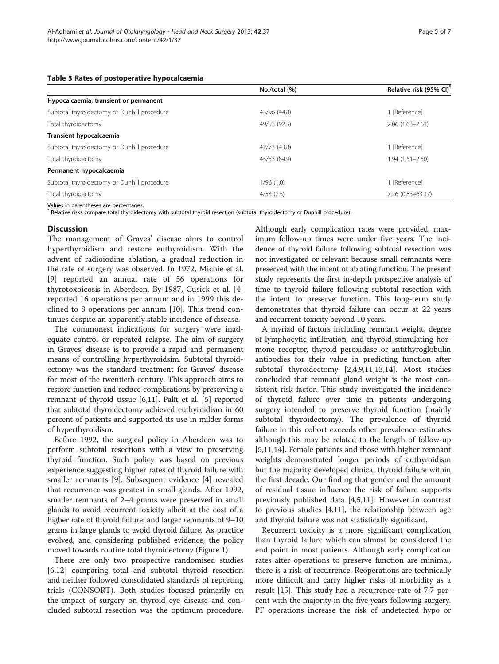<span id="page-4-0"></span>

|  | Table 3 Rates of postoperative hypocalcaemia |  |
|--|----------------------------------------------|--|
|--|----------------------------------------------|--|

|                                             | No./total (%) | Relative risk (95% CI) |
|---------------------------------------------|---------------|------------------------|
| Hypocalcaemia, transient or permanent       |               |                        |
| Subtotal thyroidectomy or Dunhill procedure | 43/96 (44.8)  | 1 [Reference]          |
| Total thyroidectomy                         | 49/53 (92.5)  | $2.06(1.63 - 2.61)$    |
| Transient hypocalcaemia                     |               |                        |
| Subtotal thyroidectomy or Dunhill procedure | 42/73 (43.8)  | 1 [Reference]          |
| Total thyroidectomy                         | 45/53 (84.9)  | $1.94(1.51 - 2.50)$    |
| Permanent hypocalcaemia                     |               |                        |
| Subtotal thyroidectomy or Dunhill procedure | 1/96(1.0)     | 1 [Reference]          |
| Total thyroidectomy                         | 4/53(7.5)     | 7.26 (0.83-63.17)      |

Values in parentheses are percentages.

Relative risks compare total thyroidectomy with subtotal thyroid resection (subtotal thyroidectomy or Dunhill procedure).

## **Discussion**

The management of Graves' disease aims to control hyperthyroidism and restore euthyroidism. With the advent of radioiodine ablation, a gradual reduction in the rate of surgery was observed. In 1972, Michie et al. [[9\]](#page-6-0) reported an annual rate of 56 operations for thyrotoxoicosis in Aberdeen. By 1987, Cusick et al. [\[4](#page-6-0)] reported 16 operations per annum and in 1999 this declined to 8 operations per annum [\[10](#page-6-0)]. This trend continues despite an apparently stable incidence of disease.

The commonest indications for surgery were inadequate control or repeated relapse. The aim of surgery in Graves' disease is to provide a rapid and permanent means of controlling hyperthyroidsim. Subtotal thyroidectomy was the standard treatment for Graves' disease for most of the twentieth century. This approach aims to restore function and reduce complications by preserving a remnant of thyroid tissue [\[6,11\]](#page-6-0). Palit et al. [\[5](#page-6-0)] reported that subtotal thyroidectomy achieved euthyroidism in 60 percent of patients and supported its use in milder forms of hyperthyroidism.

Before 1992, the surgical policy in Aberdeen was to perform subtotal resections with a view to preserving thyroid function. Such policy was based on previous experience suggesting higher rates of thyroid failure with smaller remnants [\[9](#page-6-0)]. Subsequent evidence [[4\]](#page-6-0) revealed that recurrence was greatest in small glands. After 1992, smaller remnants of 2–4 grams were preserved in small glands to avoid recurrent toxicity albeit at the cost of a higher rate of thyroid failure; and larger remnants of 9–10 grams in large glands to avoid thyroid failure. As practice evolved, and considering published evidence, the policy moved towards routine total thyroidectomy (Figure [1](#page-1-0)).

There are only two prospective randomised studies [[6,12\]](#page-6-0) comparing total and subtotal thyroid resection and neither followed consolidated standards of reporting trials (CONSORT). Both studies focused primarily on the impact of surgery on thyroid eye disease and concluded subtotal resection was the optimum procedure.

Although early complication rates were provided, maximum follow-up times were under five years. The incidence of thyroid failure following subtotal resection was not investigated or relevant because small remnants were preserved with the intent of ablating function. The present study represents the first in-depth prospective analysis of time to thyroid failure following subtotal resection with the intent to preserve function. This long-term study demonstrates that thyroid failure can occur at 22 years and recurrent toxicity beyond 10 years.

A myriad of factors including remnant weight, degree of lymphocytic infiltration, and thyroid stimulating hormone receptor, thyroid peroxidase or antithyroglobulin antibodies for their value in predicting function after subtotal thyroidectomy [\[2,4,9,11,13,14](#page-6-0)]. Most studies concluded that remnant gland weight is the most consistent risk factor. This study investigated the incidence of thyroid failure over time in patients undergoing surgery intended to preserve thyroid function (mainly subtotal thyroidectomy). The prevalence of thyroid failure in this cohort exceeds other prevalence estimates although this may be related to the length of follow-up [[5,11,14\]](#page-6-0). Female patients and those with higher remnant weights demonstrated longer periods of euthyroidism but the majority developed clinical thyroid failure within the first decade. Our finding that gender and the amount of residual tissue influence the risk of failure supports previously published data [[4,5,11\]](#page-6-0). However in contrast to previous studies [[4](#page-6-0),[11](#page-6-0)], the relationship between age and thyroid failure was not statistically significant.

Recurrent toxicity is a more significant complication than thyroid failure which can almost be considered the end point in most patients. Although early complication rates after operations to preserve function are minimal, there is a risk of recurrence. Reoperations are technically more difficult and carry higher risks of morbidity as a result [[15](#page-6-0)]. This study had a recurrence rate of 7.7 percent with the majority in the five years following surgery. PF operations increase the risk of undetected hypo or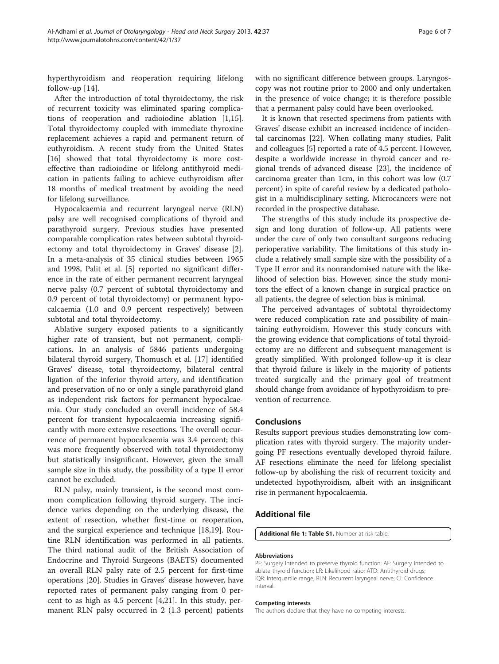<span id="page-5-0"></span>hyperthyroidism and reoperation requiring lifelong follow-up [\[14](#page-6-0)].

After the introduction of total thyroidectomy, the risk of recurrent toxicity was eliminated sparing complications of reoperation and radioiodine ablation [\[1,15](#page-6-0)]. Total thyroidectomy coupled with immediate thyroxine replacement achieves a rapid and permanent return of euthyroidism. A recent study from the United States [[16\]](#page-6-0) showed that total thyroidectomy is more costeffective than radioiodine or lifelong antithyroid medication in patients failing to achieve euthyroidism after 18 months of medical treatment by avoiding the need for lifelong surveillance.

Hypocalcaemia and recurrent laryngeal nerve (RLN) palsy are well recognised complications of thyroid and parathyroid surgery. Previous studies have presented comparable complication rates between subtotal thyroidectomy and total thyroidectomy in Graves' disease [\[2](#page-6-0)]. In a meta-analysis of 35 clinical studies between 1965 and 1998, Palit et al. [\[5\]](#page-6-0) reported no significant difference in the rate of either permanent recurrent laryngeal nerve palsy (0.7 percent of subtotal thyroidectomy and 0.9 percent of total thyroidectomy) or permanent hypocalcaemia (1.0 and 0.9 percent respectively) between subtotal and total thyroidectomy.

Ablative surgery exposed patients to a significantly higher rate of transient, but not permanent, complications. In an analysis of 5846 patients undergoing bilateral thyroid surgery, Thomusch et al. [[17](#page-6-0)] identified Graves' disease, total thyroidectomy, bilateral central ligation of the inferior thyroid artery, and identification and preservation of no or only a single parathyroid gland as independent risk factors for permanent hypocalcaemia. Our study concluded an overall incidence of 58.4 percent for transient hypocalcaemia increasing significantly with more extensive resections. The overall occurrence of permanent hypocalcaemia was 3.4 percent; this was more frequently observed with total thyroidectomy but statistically insignificant. However, given the small sample size in this study, the possibility of a type II error cannot be excluded.

RLN palsy, mainly transient, is the second most common complication following thyroid surgery. The incidence varies depending on the underlying disease, the extent of resection, whether first-time or reoperation, and the surgical experience and technique [[18,19\]](#page-6-0). Routine RLN identification was performed in all patients. The third national audit of the British Association of Endocrine and Thyroid Surgeons (BAETS) documented an overall RLN palsy rate of 2.5 percent for first-time operations [[20\]](#page-6-0). Studies in Graves' disease however, have reported rates of permanent palsy ranging from 0 percent to as high as 4.5 percent [\[4,21\]](#page-6-0). In this study, permanent RLN palsy occurred in 2 (1.3 percent) patients

with no significant difference between groups. Laryngoscopy was not routine prior to 2000 and only undertaken in the presence of voice change; it is therefore possible that a permanent palsy could have been overlooked.

It is known that resected specimens from patients with Graves' disease exhibit an increased incidence of incidental carcinomas [\[22\]](#page-6-0). When collating many studies, Palit and colleagues [[5\]](#page-6-0) reported a rate of 4.5 percent. However, despite a worldwide increase in thyroid cancer and regional trends of advanced disease [\[23\]](#page-6-0), the incidence of carcinoma greater than 1cm, in this cohort was low (0.7 percent) in spite of careful review by a dedicated pathologist in a multidisciplinary setting. Microcancers were not recorded in the prospective database.

The strengths of this study include its prospective design and long duration of follow-up. All patients were under the care of only two consultant surgeons reducing perioperative variability. The limitations of this study include a relatively small sample size with the possibility of a Type II error and its nonrandomised nature with the likelihood of selection bias. However, since the study monitors the effect of a known change in surgical practice on all patients, the degree of selection bias is minimal.

The perceived advantages of subtotal thyroidectomy were reduced complication rate and possibility of maintaining euthyroidism. However this study concurs with the growing evidence that complications of total thyroidectomy are no different and subsequent management is greatly simplified. With prolonged follow-up it is clear that thyroid failure is likely in the majority of patients treated surgically and the primary goal of treatment should change from avoidance of hypothyroidism to prevention of recurrence.

# Conclusions

Results support previous studies demonstrating low complication rates with thyroid surgery. The majority undergoing PF resections eventually developed thyroid failure. AF resections eliminate the need for lifelong specialist follow-up by abolishing the risk of recurrent toxicity and undetected hypothyroidism, albeit with an insignificant rise in permanent hypocalcaemia.

# Additional file

[Additional file 1: Table S1.](http://www.biomedcentral.com/content/supplementary/1916-0216-42-37-S1.doc) Number at risk table.

## Abbreviations

PF: Surgery intended to preserve thyroid function; AF: Surgery intended to ablate thyroid function; LR: Likelihood ratio; ATD: Antithyroid drugs; IQR: Interquartile range; RLN: Recurrent laryngeal nerve; CI: Confidence interval.

#### Competing interests

The authors declare that they have no competing interests.